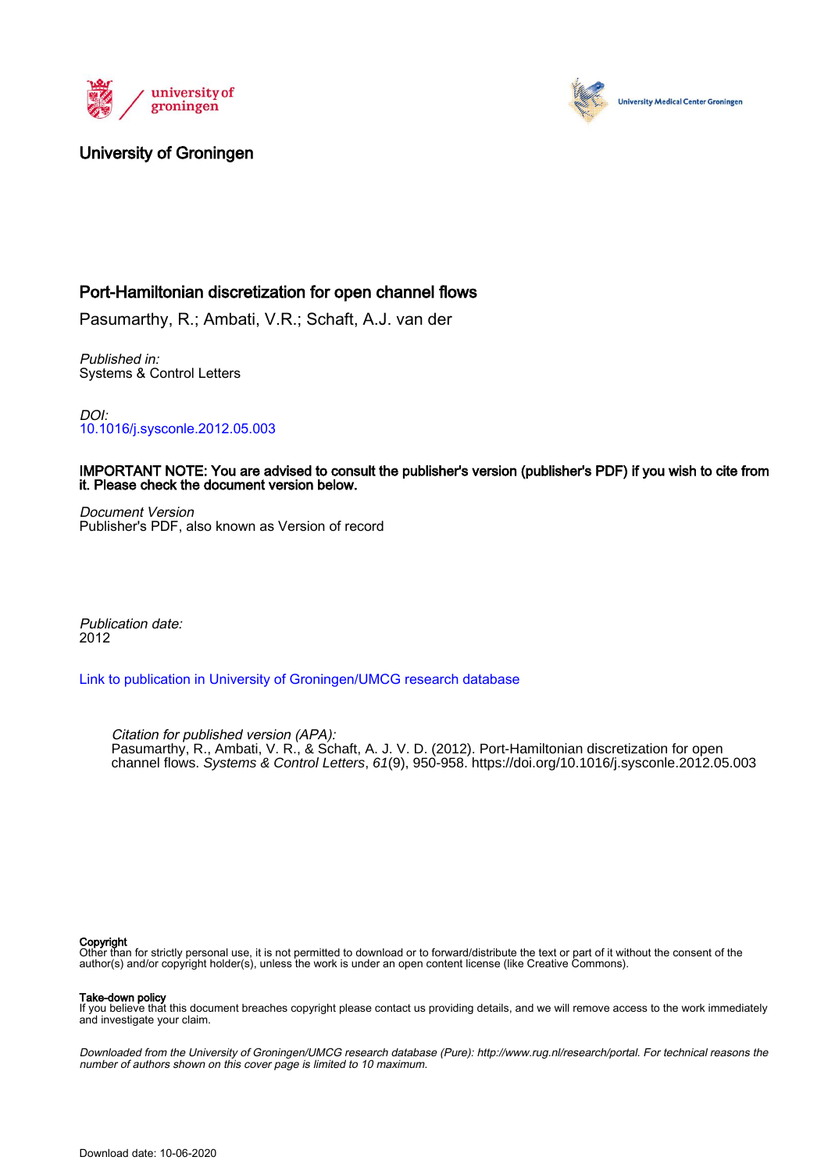



## University of Groningen

## Port-Hamiltonian discretization for open channel flows

Pasumarthy, R.; Ambati, V.R.; Schaft, A.J. van der

Published in: Systems & Control Letters

DOI: [10.1016/j.sysconle.2012.05.003](https://doi.org/10.1016/j.sysconle.2012.05.003)

## IMPORTANT NOTE: You are advised to consult the publisher's version (publisher's PDF) if you wish to cite from it. Please check the document version below.

Document Version Publisher's PDF, also known as Version of record

Publication date: 2012

[Link to publication in University of Groningen/UMCG research database](https://www.rug.nl/research/portal/en/publications/porthamiltonian-discretization-for-open-channel-flows(ea896255-546c-45e7-80d4-5acd0113458f).html)

Citation for published version (APA): Pasumarthy, R., Ambati, V. R., & Schaft, A. J. V. D. (2012). Port-Hamiltonian discretization for open channel flows. Systems & Control Letters, 61(9), 950-958. <https://doi.org/10.1016/j.sysconle.2012.05.003>

## Copyright

Other than for strictly personal use, it is not permitted to download or to forward/distribute the text or part of it without the consent of the author(s) and/or copyright holder(s), unless the work is under an open content license (like Creative Commons).

## Take-down policy

If you believe that this document breaches copyright please contact us providing details, and we will remove access to the work immediately and investigate your claim.

Downloaded from the University of Groningen/UMCG research database (Pure): http://www.rug.nl/research/portal. For technical reasons the number of authors shown on this cover page is limited to 10 maximum.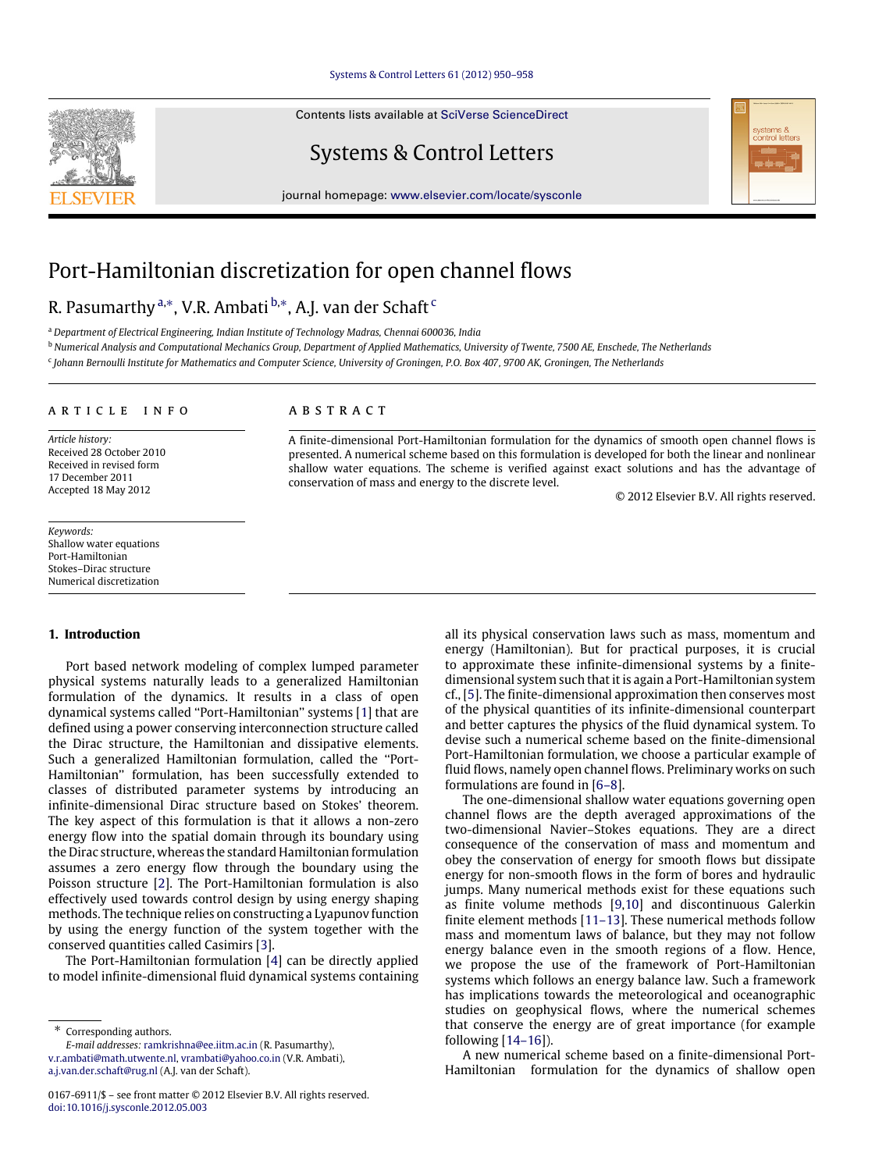## [Systems & Control Letters 61 \(2012\) 950–958](http://dx.doi.org/10.1016/j.sysconle.2012.05.003)

Contents lists available at [SciVerse ScienceDirect](http://www.elsevier.com/locate/sysconle)

Systems & Control Letters

journal homepage: [www.elsevier.com/locate/sysconle](http://www.elsevier.com/locate/sysconle)



# Port-Hamiltonian discretization for open channel flows

## R. Pasumarthy <sup>[a,](#page-1-0)[∗](#page-1-1)</sup>, V.R. Ambati <sup>[b,](#page-1-2)</sup>\*, A.J. van der S[c](#page-1-3)haft <sup>c</sup>

<span id="page-1-0"></span><sup>a</sup> *Department of Electrical Engineering, Indian Institute of Technology Madras, Chennai 600036, India*

<span id="page-1-2"></span><sup>b</sup> *Numerical Analysis and Computational Mechanics Group, Department of Applied Mathematics, University of Twente, 7500 AE, Enschede, The Netherlands*

<span id="page-1-3"></span><sup>c</sup> Johann Bernoulli Institute for Mathematics and Computer Science, University of Groningen, P.O. Box 407, 9700 AK, Groningen, The Netherlands

#### A R T I C L E I N F O

*Article history:* Received 28 October 2010 Received in revised form 17 December 2011 Accepted 18 May 2012

*Keywords:* Shallow water equations Port-Hamiltonian Stokes–Dirac structure Numerical discretization

## **1. Introduction**

Port based network modeling of complex lumped parameter physical systems naturally leads to a generalized Hamiltonian formulation of the dynamics. It results in a class of open dynamical systems called ''Port-Hamiltonian'' systems [\[1\]](#page-9-0) that are defined using a power conserving interconnection structure called the Dirac structure, the Hamiltonian and dissipative elements. Such a generalized Hamiltonian formulation, called the ''Port-Hamiltonian'' formulation, has been successfully extended to classes of distributed parameter systems by introducing an infinite-dimensional Dirac structure based on Stokes' theorem. The key aspect of this formulation is that it allows a non-zero energy flow into the spatial domain through its boundary using the Dirac structure, whereas the standard Hamiltonian formulation assumes a zero energy flow through the boundary using the Poisson structure [\[2\]](#page-9-1). The Port-Hamiltonian formulation is also effectively used towards control design by using energy shaping methods. The technique relies on constructing a Lyapunov function by using the energy function of the system together with the conserved quantities called Casimirs [\[3\]](#page-9-2).

The Port-Hamiltonian formulation [\[4\]](#page-9-3) can be directly applied to model infinite-dimensional fluid dynamical systems containing

<span id="page-1-1"></span>Corresponding authors.

*E-mail addresses:* [ramkrishna@ee.iitm.ac.in](mailto:ramkrishna@ee.iitm.ac.in) (R. Pasumarthy), [v.r.ambati@math.utwente.nl,](mailto:v.r.ambati@math.utwente.nl) [vrambati@yahoo.co.in](mailto:vrambati@yahoo.co.in) (V.R. Ambati), [a.j.van.der.schaft@rug.nl](mailto:a.j.van.der.schaft@rug.nl) (A.J. van der Schaft).

### a b s t r a c t

A finite-dimensional Port-Hamiltonian formulation for the dynamics of smooth open channel flows is presented. A numerical scheme based on this formulation is developed for both the linear and nonlinear shallow water equations. The scheme is verified against exact solutions and has the advantage of conservation of mass and energy to the discrete level.

© 2012 Elsevier B.V. All rights reserved.

all its physical conservation laws such as mass, momentum and energy (Hamiltonian). But for practical purposes, it is crucial to approximate these infinite-dimensional systems by a finitedimensional system such that it is again a Port-Hamiltonian system cf., [\[5\]](#page-9-4). The finite-dimensional approximation then conserves most of the physical quantities of its infinite-dimensional counterpart and better captures the physics of the fluid dynamical system. To devise such a numerical scheme based on the finite-dimensional Port-Hamiltonian formulation, we choose a particular example of fluid flows, namely open channel flows. Preliminary works on such formulations are found in [\[6–8\]](#page-9-5).

The one-dimensional shallow water equations governing open channel flows are the depth averaged approximations of the two-dimensional Navier–Stokes equations. They are a direct consequence of the conservation of mass and momentum and obey the conservation of energy for smooth flows but dissipate energy for non-smooth flows in the form of bores and hydraulic jumps. Many numerical methods exist for these equations such as finite volume methods [\[9](#page-9-6)[,10\]](#page-9-7) and discontinuous Galerkin finite element methods [\[11–13\]](#page-9-8). These numerical methods follow mass and momentum laws of balance, but they may not follow energy balance even in the smooth regions of a flow. Hence, we propose the use of the framework of Port-Hamiltonian systems which follows an energy balance law. Such a framework has implications towards the meteorological and oceanographic studies on geophysical flows, where the numerical schemes that conserve the energy are of great importance (for example following [\[14–16\]](#page-9-9)).

A new numerical scheme based on a finite-dimensional Port-Hamiltonian formulation for the dynamics of shallow open

<sup>0167-6911/\$ –</sup> see front matter © 2012 Elsevier B.V. All rights reserved. [doi:10.1016/j.sysconle.2012.05.003](http://dx.doi.org/10.1016/j.sysconle.2012.05.003)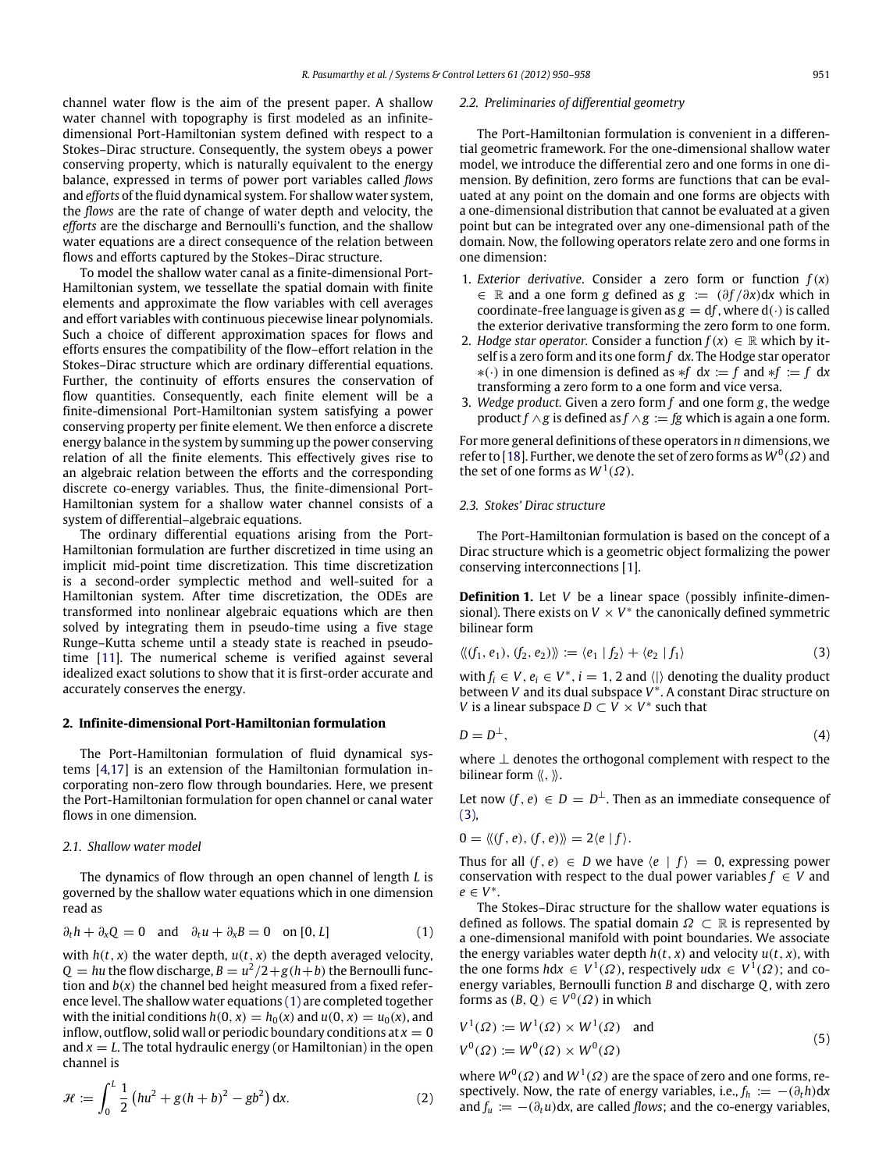channel water flow is the aim of the present paper. A shallow water channel with topography is first modeled as an infinitedimensional Port-Hamiltonian system defined with respect to a Stokes–Dirac structure. Consequently, the system obeys a power conserving property, which is naturally equivalent to the energy balance, expressed in terms of power port variables called *flows* and *efforts* of the fluid dynamical system. For shallow water system, the *flows* are the rate of change of water depth and velocity, the *efforts* are the discharge and Bernoulli's function, and the shallow water equations are a direct consequence of the relation between flows and efforts captured by the Stokes–Dirac structure.

To model the shallow water canal as a finite-dimensional Port-Hamiltonian system, we tessellate the spatial domain with finite elements and approximate the flow variables with cell averages and effort variables with continuous piecewise linear polynomials. Such a choice of different approximation spaces for flows and efforts ensures the compatibility of the flow–effort relation in the Stokes–Dirac structure which are ordinary differential equations. Further, the continuity of efforts ensures the conservation of flow quantities. Consequently, each finite element will be a finite-dimensional Port-Hamiltonian system satisfying a power conserving property per finite element. We then enforce a discrete energy balance in the system by summing up the power conserving relation of all the finite elements. This effectively gives rise to an algebraic relation between the efforts and the corresponding discrete co-energy variables. Thus, the finite-dimensional Port-Hamiltonian system for a shallow water channel consists of a system of differential–algebraic equations.

The ordinary differential equations arising from the Port-Hamiltonian formulation are further discretized in time using an implicit mid-point time discretization. This time discretization is a second-order symplectic method and well-suited for a Hamiltonian system. After time discretization, the ODEs are transformed into nonlinear algebraic equations which are then solved by integrating them in pseudo-time using a five stage Runge–Kutta scheme until a steady state is reached in pseudotime [\[11\]](#page-9-8). The numerical scheme is verified against several idealized exact solutions to show that it is first-order accurate and accurately conserves the energy.

#### **2. Infinite-dimensional Port-Hamiltonian formulation**

The Port-Hamiltonian formulation of fluid dynamical systems [\[4,](#page-9-3)[17\]](#page-9-10) is an extension of the Hamiltonian formulation incorporating non-zero flow through boundaries. Here, we present the Port-Hamiltonian formulation for open channel or canal water flows in one dimension.

## *2.1. Shallow water model*

The dynamics of flow through an open channel of length *L* is governed by the shallow water equations which in one dimension read as

$$
\partial_t h + \partial_x Q = 0 \quad \text{and} \quad \partial_t u + \partial_x B = 0 \quad \text{on } [0, L] \tag{1}
$$

with  $h(t, x)$  the water depth,  $u(t, x)$  the depth averaged velocity,  $Q = h$ *u* the flow discharge,  $B = u^2/2 + g(h + b)$  the Bernoulli function and *b*(*x*) the channel bed height measured from a fixed reference level. The shallow water equations [\(1\)](#page-2-0) are completed together with the initial conditions  $h(0, x) = h_0(x)$  and  $u(0, x) = u_0(x)$ , and inflow, outflow, solid wall or periodic boundary conditions at  $x = 0$ and  $x = L$ . The total hydraulic energy (or Hamiltonian) in the open channel is

$$
\mathcal{H} := \int_0^L \frac{1}{2} \left( h u^2 + g (h + b)^2 - g b^2 \right) dx.
$$
 (2)

#### *2.2. Preliminaries of differential geometry*

The Port-Hamiltonian formulation is convenient in a differential geometric framework. For the one-dimensional shallow water model, we introduce the differential zero and one forms in one dimension. By definition, zero forms are functions that can be evaluated at any point on the domain and one forms are objects with a one-dimensional distribution that cannot be evaluated at a given point but can be integrated over any one-dimensional path of the domain. Now, the following operators relate zero and one forms in one dimension:

- 1. *Exterior derivative*. Consider a zero form or function  $f(x)$ ∈ R and a one form *g* defined as *g* := (∂*f* /∂*x*)d*x* which in coordinate-free language is given as  $g = df$ , where  $d(\cdot)$  is called the exterior derivative transforming the zero form to one form.
- 2. *Hodge star operator.* Consider a function  $f(x) \in \mathbb{R}$  which by itself is a zero form and its one form *f* d*x*. The Hodge star operator ∗(·) in one dimension is defined as ∗*f* d*x* := *f* and ∗*f* := *f* d*x* transforming a zero form to a one form and vice versa.
- 3. *Wedge product.* Given a zero form *f* and one form *g*, the wedge product *f*  $\land$  *g* is defined as  $f \land g := fg$  which is again a one form.

For more general definitions of these operators in *n* dimensions, we refer to [\[18\]](#page-9-11). Further, we denote the set of zero forms as  $W^0(\varOmega)$  and the set of one forms as  $W^1(\Omega)$ .

## *2.3. Stokes' Dirac structure*

The Port-Hamiltonian formulation is based on the concept of a Dirac structure which is a geometric object formalizing the power conserving interconnections [\[1\]](#page-9-0).

**Definition 1.** Let *V* be a linear space (possibly infinite-dimensional). There exists on  $V \times V^*$  the canonically defined symmetric bilinear form

$$
\langle \langle (f_1, e_1), (f_2, e_2) \rangle \rangle := \langle e_1 | f_2 \rangle + \langle e_2 | f_1 \rangle \tag{3}
$$

<span id="page-2-1"></span>with  $f_i \in V$ ,  $e_i \in V^*$ ,  $i = 1, 2$  and  $\langle \cdot | \rangle$  denoting the duality product between *V* and its dual subspace *V* ∗ . A constant Dirac structure on *V* is a linear subspace  $D \subset V \times V^*$  such that

$$
D = D^{\perp},\tag{4}
$$

where ⊥ denotes the orthogonal complement with respect to the bilinear form ⟨⟨,⟩⟩.

Let now  $(f, e) \in D = D^{\perp}$ . Then as an immediate consequence of [\(3\),](#page-2-1)

$$
0 = \langle \langle (f, e), (f, e) \rangle \rangle = 2 \langle e | f \rangle.
$$

Thus for all  $(f, e) \in D$  we have  $\langle e | f \rangle = 0$ , expressing power conservation with respect to the dual power variables  $f \in V$  and *e* ∈ *V* ∗ .

<span id="page-2-0"></span>The Stokes–Dirac structure for the shallow water equations is defined as follows. The spatial domain  $\Omega \subset \mathbb{R}$  is represented by a one-dimensional manifold with point boundaries. We associate the energy variables water depth  $h(t, x)$  and velocity  $u(t, x)$ , with the one forms *h*d $x \in V^1(\Omega)$ , respectively *udx*  $\in V^1(\Omega)$ ; and coenergy variables, Bernoulli function *B* and discharge *Q*, with zero forms as  $(B, Q) \in V^0(\Omega)$  in which

$$
V^{1}(\Omega) := W^{1}(\Omega) \times W^{1}(\Omega) \text{ and}
$$
  
\n
$$
V^{0}(\Omega) := W^{0}(\Omega) \times W^{0}(\Omega)
$$
\n(5)

where  $W^0(Ω)$  and  $W^1(Ω)$  are the space of zero and one forms, respectively. Now, the rate of energy variables, i.e.,  $f_h := -(\partial_t h) dx$ and  $f_u := -(\partial_t u) dx$ , are called *flows*; and the co-energy variables,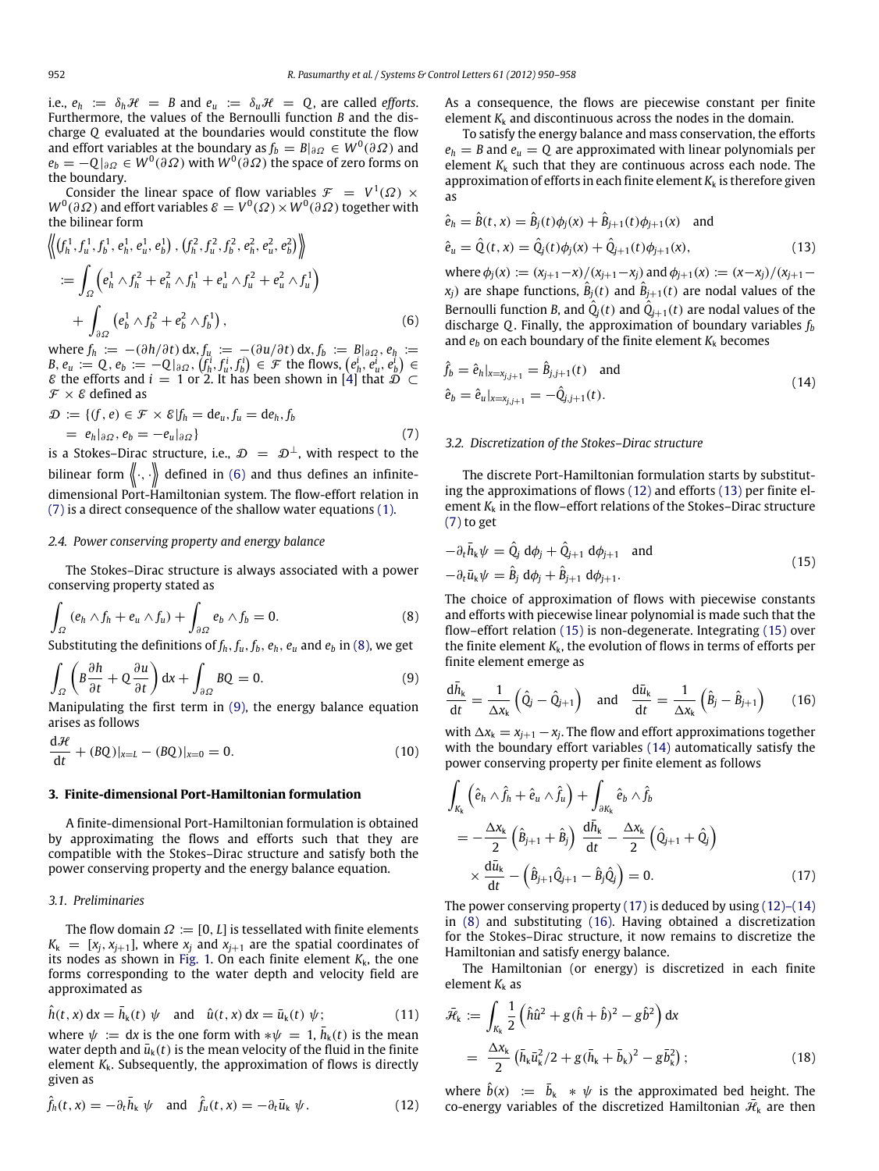i.e.,  $e_h := \delta_h \mathcal{H} = B$  and  $e_u := \delta_u \mathcal{H} = Q$ , are called *efforts*. Furthermore, the values of the Bernoulli function *B* and the discharge *Q* evaluated at the boundaries would constitute the flow and effort variables at the boundary as  $f_b = B|_{\partial\Omega} \in W^0(\partial\Omega)$  and  $e_b = -Q|_{\partial\Omega} \in W^0(\partial\Omega)$  with  $W^0(\partial\Omega)$  the space of zero forms on the boundary.

Consider the linear space of flow variables  $\mathcal{F} = V^1(\Omega) \times$  $W^0(\partial \Omega)$  and effort variables  $\mathcal{E}=V^0(\Omega)\times W^0(\partial \Omega)$  together with the bilinear form

$$
\left\langle \left( f_h^1, f_u^1, f_b^1, e_h^1, e_u^1, e_b^1 \right), \left( f_h^2, f_u^2, f_b^2, e_h^2, e_h^2, e_b^2 \right) \right\rangle
$$
\n
$$
:= \int_{\Omega} \left( e_h^1 \wedge f_h^2 + e_h^2 \wedge f_h^1 + e_u^1 \wedge f_u^2 + e_u^2 \wedge f_u^1 \right)
$$
\n
$$
+ \int_{\partial \Omega} \left( e_h^1 \wedge f_b^2 + e_b^2 \wedge f_b^1 \right), \tag{6}
$$

where *f<sup>h</sup>* := −(∂*h*/∂*t*) d*x*, *f<sup>u</sup>* := −(∂*u*/∂*t*) d*x*, *f<sup>b</sup>* := *B*|<sup>∂</sup><sup>Ω</sup> , *e<sup>h</sup>* :=  $B, e_u := Q, e_b := -Q|_{\partial\Omega}, (f_h^i, f_u^i, f_b^i) \in \mathcal{F}$  the flows,  $(e_h^i, e_u^i, e_b^i) \in$ *€* the efforts and  $i = 1$  or  $\hat{Z}$ . It has been shown in [\[4\]](#page-9-3) that  $\hat{D} \subset$  $\mathcal{F} \times \mathcal{E}$  defined as

$$
\mathcal{D} := \{ (f, e) \in \mathcal{F} \times \mathcal{E} | f_h = \text{d}e_u, f_u = \text{d}e_h, f_b
$$
  
=  $e_h|_{\partial \Omega}, e_b = -e_u|_{\partial \Omega} \}$  (7)  
is a Stokes Dirac structure, i.e.,  $\mathcal{D} = \mathcal{D}^{\perp}$  with respect to the

is a Stokes–Dirac structure, i.e.,  $\mathcal{D} = \mathcal{D}^{\perp}$ , with respect to the bilinear form  $\langle\!\!\langle \cdot,\cdot\rangle\!\!\rangle$  defined in [\(6\)](#page-3-0) and thus defines an infinitedimensional Port-Hamiltonian system. The flow-effort relation in [\(7\)](#page-3-1) is a direct consequence of the shallow water equations [\(1\).](#page-2-0)

#### *2.4. Power conserving property and energy balance*

The Stokes–Dirac structure is always associated with a power conserving property stated as

$$
\int_{\Omega} (e_h \wedge f_h + e_u \wedge f_u) + \int_{\partial \Omega} e_b \wedge f_b = 0.
$$
 (8)

Substituting the definitions of  $f_h$ ,  $f_u$ ,  $f_b$ ,  $e_h$ ,  $e_u$  and  $e_b$  in [\(8\),](#page-3-2) we get

$$
\int_{\Omega} \left( B \frac{\partial h}{\partial t} + Q \frac{\partial u}{\partial t} \right) dx + \int_{\partial \Omega} BQ = 0.
$$
\n(9)

Manipulating the first term in [\(9\),](#page-3-3) the energy balance equation arises as follows  $\overline{a}$ 

$$
\frac{d\mathcal{H}}{dt} + (BQ)|_{x=L} - (BQ)|_{x=0} = 0.
$$
 (10)

### **3. Finite-dimensional Port-Hamiltonian formulation**

A finite-dimensional Port-Hamiltonian formulation is obtained by approximating the flows and efforts such that they are compatible with the Stokes–Dirac structure and satisfy both the power conserving property and the energy balance equation.

#### *3.1. Preliminaries*

The flow domain  $\Omega := [0, L]$  is tessellated with finite elements  $K_k = [x_j, x_{j+1}]$ , where  $x_j$  and  $x_{j+1}$  are the spatial coordinates of its nodes as shown in [Fig. 1.](#page-4-0) On each finite element  $K_{\mathsf{k}}$ , the one forms corresponding to the water depth and velocity field are approximated as

$$
\hat{h}(t, x) dx = \bar{h}_k(t) \psi \text{ and } \hat{u}(t, x) dx = \bar{u}_k(t) \psi;
$$
 (11)

where  $\psi := dx$  is the one form with  $*\psi = 1$ ,  $\bar{h}_k(t)$  is the mean water depth and  $\bar{u}_k(t)$  is the mean velocity of the fluid in the finite element *K*<sup>k</sup> . Subsequently, the approximation of flows is directly given as

$$
\hat{f}_h(t,x) = -\partial_t \bar{h}_k \psi \quad \text{and} \quad \hat{f}_u(t,x) = -\partial_t \bar{u}_k \psi. \tag{12}
$$

As a consequence, the flows are piecewise constant per finite element  $K_k$  and discontinuous across the nodes in the domain.

To satisfy the energy balance and mass conservation, the efforts  $e_h = B$  and  $e_u = Q$  are approximated with linear polynomials per element  $K_k$  such that they are continuous across each node. The  $approximation$  of efforts in each finite element  $K_k$  is therefore given as

$$
\hat{e}_h = \hat{B}(t, x) = \hat{B}_j(t)\phi_j(x) + \hat{B}_{j+1}(t)\phi_{j+1}(x) \text{ and}
$$
  
\n
$$
\hat{e}_u = \hat{Q}(t, x) = \hat{Q}_j(t)\phi_j(x) + \hat{Q}_{j+1}(t)\phi_{j+1}(x),
$$
\n(13)

<span id="page-3-5"></span><span id="page-3-0"></span>where  $\phi_j(x) := (x_{j+1} - x)/(x_{j+1} - x_j)$  and  $\phi_{j+1}(x) := (x - x_j)/(x_{j+1} - x_j)$ *x*<sub>*j*</sub>) are shape functions,  $\hat{B}_j(t)$  and  $\hat{B}_{j+1}(t)$  are nodal values of the Bernoulli function *B*, and  $\hat{Q}_j(t)$  and  $\hat{Q}_{j+1}(t)$  are nodal values of the discharge *Q*. Finally, the approximation of boundary variables *f<sup>b</sup>* and  $e_b$  on each boundary of the finite element  $K_k$  becomes

<span id="page-3-7"></span>
$$
\hat{f}_b = \hat{e}_h|_{x=x_{j,j+1}} = \hat{B}_{j,j+1}(t) \text{ and}
$$
\n
$$
\hat{e}_b = \hat{e}_u|_{x=x_{j,j+1}} = -\hat{Q}_{j,j+1}(t).
$$
\n(14)

#### <span id="page-3-1"></span>*3.2. Discretization of the Stokes–Dirac structure*

The discrete Port-Hamiltonian formulation starts by substituting the approximations of flows [\(12\)](#page-3-4) and efforts [\(13\)](#page-3-5) per finite element *K*<sub>k</sub> in the flow–effort relations of the Stokes–Dirac structure [\(7\)](#page-3-1) to get

<span id="page-3-6"></span>
$$
-\partial_t \bar{h}_k \psi = \hat{Q}_j d\phi_j + \hat{Q}_{j+1} d\phi_{j+1} \text{ and}
$$
  

$$
-\partial_t \bar{u}_k \psi = \hat{B}_j d\phi_j + \hat{B}_{j+1} d\phi_{j+1}.
$$
 (15)

<span id="page-3-2"></span>The choice of approximation of flows with piecewise constants and efforts with piecewise linear polynomial is made such that the flow–effort relation [\(15\)](#page-3-6) is non-degenerate. Integrating [\(15\)](#page-3-6) over the finite element  $K_{k}$ , the evolution of flows in terms of efforts per finite element emerge as

<span id="page-3-9"></span><span id="page-3-3"></span>
$$
\frac{d\bar{h}_{k}}{dt} = \frac{1}{\Delta x_{k}} \left( \hat{Q}_{j} - \hat{Q}_{j+1} \right) \quad \text{and} \quad \frac{d\bar{u}_{k}}{dt} = \frac{1}{\Delta x_{k}} \left( \hat{B}_{j} - \hat{B}_{j+1} \right) \tag{16}
$$

with  $\Delta x_k = x_{j+1} - x_j$ . The flow and effort approximations together with the boundary effort variables [\(14\)](#page-3-7) automatically satisfy the power conserving property per finite element as follows

$$
\int_{K_{k}} \left( \hat{e}_{h} \wedge \hat{f}_{h} + \hat{e}_{u} \wedge \hat{f}_{u} \right) + \int_{\partial K_{k}} \hat{e}_{b} \wedge \hat{f}_{b}
$$
\n
$$
= -\frac{\Delta x_{k}}{2} \left( \hat{B}_{j+1} + \hat{B}_{j} \right) \frac{d\bar{h}_{k}}{dt} - \frac{\Delta x_{k}}{2} \left( \hat{Q}_{j+1} + \hat{Q}_{j} \right)
$$
\n
$$
\times \frac{d\bar{u}_{k}}{dt} - \left( \hat{B}_{j+1} \hat{Q}_{j+1} - \hat{B}_{j} \hat{Q}_{j} \right) = 0. \tag{17}
$$

<span id="page-3-8"></span>The power conserving property  $(17)$  is deduced by using  $(12)$ – $(14)$ in [\(8\)](#page-3-2) and substituting [\(16\).](#page-3-9) Having obtained a discretization for the Stokes–Dirac structure, it now remains to discretize the Hamiltonian and satisfy energy balance.

The Hamiltonian (or energy) is discretized in each finite element  $K_k$  as

$$
\bar{\mathcal{H}}_{k} := \int_{K_{k}} \frac{1}{2} \left( \hat{h} \hat{u}^{2} + g (\hat{h} + \hat{b})^{2} - g \hat{b}^{2} \right) dx
$$
  
= 
$$
\frac{\Delta x_{k}}{2} \left( \bar{h}_{k} \bar{u}_{k}^{2} / 2 + g (\bar{h}_{k} + \bar{b}_{k})^{2} - g \bar{b}_{k}^{2} \right);
$$
(18)

<span id="page-3-4"></span>where  $\hat{b}(x) := \bar{b}_k * \psi$  is the approximated bed height. The co-energy variables of the discretized Hamiltonian  $\bar{\mathcal{H}}_k$  are then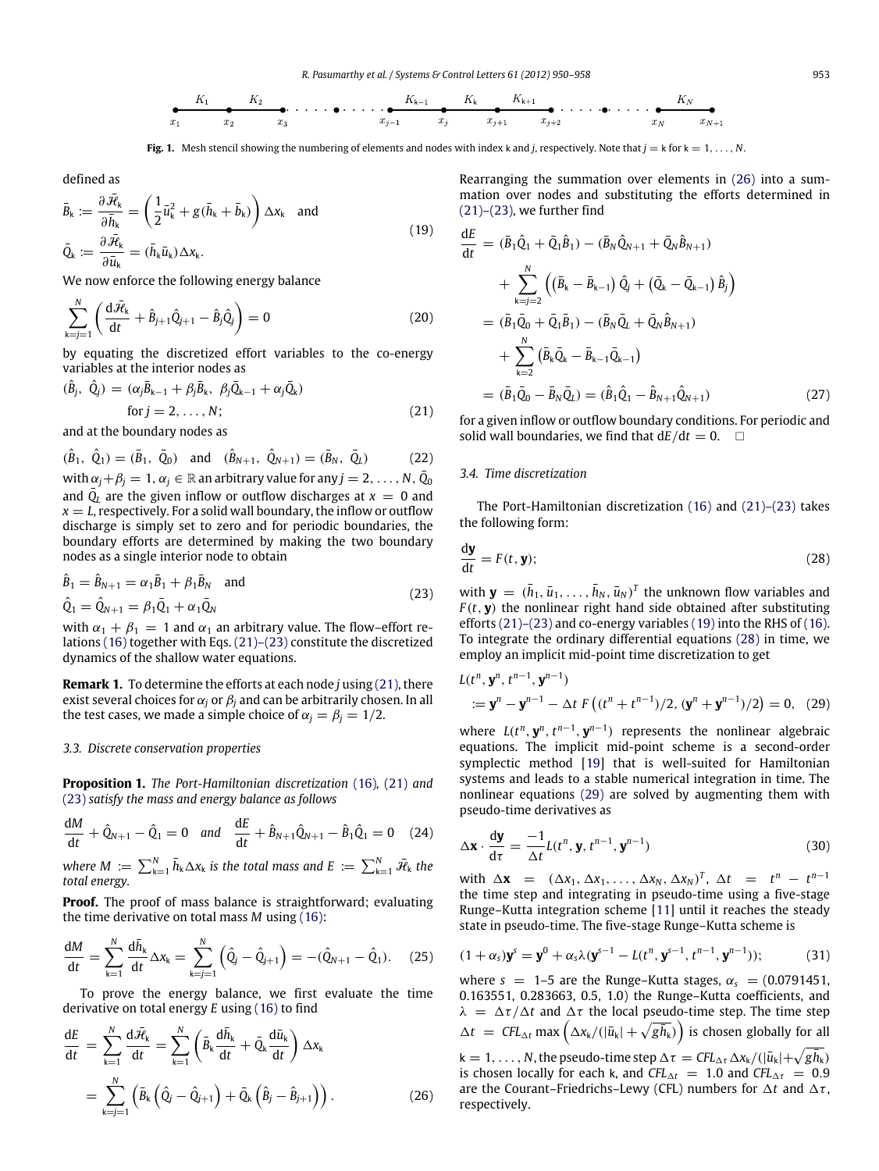$$
\underbrace{\qquad \qquad K_1 \qquad K_2 \qquad \qquad K_2 \qquad \qquad \qquad \qquad K_{k-1} \qquad K_k \qquad K_{k+1} \qquad K_{k+1} \qquad \qquad K_{k+1} \qquad \qquad K_{N-1} \qquad K_{N-1} \qquad \qquad K_{N-1} \qquad \qquad K_{N-1} \qquad \qquad K_{N-1} \qquad \qquad K_{N-1} \qquad \qquad K_{N-1} \qquad \qquad K_{N-1} \qquad \qquad K_{N-1} \qquad \qquad K_{N-1} \qquad \qquad K_{N-1} \qquad \qquad K_{N-1} \qquad \qquad K_{N-1} \qquad \qquad K_{N-1} \qquad \qquad K_{N-1} \qquad \qquad K_{N-1} \qquad \qquad K_{N-1} \qquad \qquad K_{N-1} \qquad \qquad K_{N-1} \qquad \qquad K_{N-1} \qquad \qquad K_{N-1} \qquad \qquad K_{N-1} \qquad \qquad K_{N-1} \qquad \qquad K_{N-1} \qquad \qquad K_{N-1} \qquad \qquad K_{N-1} \qquad \qquad K_{N-1} \qquad \qquad K_{N-1} \qquad \qquad K_{N-1} \qquad \qquad K_{N-1} \qquad \qquad K_{N-1} \qquad \qquad K_{N-1} \qquad \qquad K_{N-1} \qquad \qquad K_{N-1} \qquad \qquad K_{N-1} \qquad \qquad K_{N-1} \qquad \qquad K_{N-1} \qquad \qquad K_{N-1} \qquad \qquad K_{N-1} \qquad \qquad K_{N-1} \qquad \qquad K_{N-1} \qquad \qquad K_{N-1} \qquad \qquad K_{N-1} \qquad \qquad K_{N-1} \qquad \qquad K_{N-1} \qquad \qquad K_{N-1} \qquad \qquad K_{N-1} \qquad \qquad K_{N-1} \qquad \qquad K_{N-1} \qquad \qquad K_{N-1} \qquad \qquad K_{N-1} \qquad \qquad K_{N-1} \qquad \qquad K_{N-1} \qquad \qquad K_{N-1} \qquad \qquad K_{N-1} \qquad \qquad K_{N-1} \qquad \qquad K_{N-1
$$

**Fig. 1.** Mesh stencil showing the numbering of elements and nodes with index k and *j*, respectively. Note that  $j = k$  for  $k = 1, ..., N$ .

<span id="page-4-0"></span>defined as

$$
\bar{B}_{k} := \frac{\partial \bar{\mathcal{H}}_{k}}{\partial \bar{h}_{k}} = \left(\frac{1}{2}\bar{u}_{k}^{2} + g(\bar{h}_{k} + \bar{b}_{k})\right) \Delta x_{k} \text{ and}
$$
\n
$$
\bar{Q}_{k} := \frac{\partial \bar{\mathcal{H}}_{k}}{\partial \bar{u}_{k}} = (\bar{h}_{k}\bar{u}_{k}) \Delta x_{k}.
$$
\n(19)

We now enforce the following energy balance

$$
\sum_{k=j=1}^{N} \left( \frac{d\bar{\mathcal{H}}_k}{dt} + \hat{B}_{j+1}\hat{Q}_{j+1} - \hat{B}_j\hat{Q}_j \right) = 0
$$
 (20)

by equating the discretized effort variables to the co-energy variables at the interior nodes as

$$
(\hat{B}_j, \hat{Q}_j) = (\alpha_j \bar{B}_{k-1} + \beta_j \bar{B}_k, \ \beta_j \bar{Q}_{k-1} + \alpha_j \bar{Q}_k)
$$
  
for  $j = 2, ..., N$ ;  
(21)

and at the boundary nodes as

 $(\hat{B}_1, \hat{Q}_1) = (\bar{B}_1, \bar{Q}_0)$  and  $(\hat{B}_{N+1}, \hat{Q}_{N+1}) = (\bar{B}_N, \bar{Q}_0)$ *<sup>L</sup>*) (22) with  $\alpha_j + \beta_j = 1, \alpha_j \in \mathbb{R}$  an arbitrary value for any  $j = 2, \ldots, N, \bar{Q}_0$ and  $\overline{Q}_L$  are the given inflow or outflow discharges at  $x = 0$  and  $x = L$ , respectively. For a solid wall boundary, the inflow or outflow discharge is simply set to zero and for periodic boundaries, the boundary efforts are determined by making the two boundary

$$
\hat{B}_1 = \hat{B}_{N+1} = \alpha_1 \bar{B}_1 + \beta_1 \bar{B}_N \text{ and}
$$
\n
$$
\hat{Q}_1 = \hat{Q}_{N+1} = \beta_1 \bar{Q}_1 + \alpha_1 \bar{Q}_N
$$
\n(23)

with  $\alpha_1 + \beta_1 = 1$  and  $\alpha_1$  an arbitrary value. The flow–effort relations [\(16\)](#page-3-9) together with Eqs. [\(21\)–\(23\)](#page-4-1) constitute the discretized dynamics of the shallow water equations.

**Remark 1.** To determine the efforts at each node *j* using [\(21\),](#page-4-1) there exist several choices for  $\alpha_i$  or  $\beta_i$  and can be arbitrarily chosen. In all the test cases, we made a simple choice of  $\alpha_j = \beta_j = 1/2$ .

### *3.3. Discrete conservation properties*

nodes as a single interior node to obtain

**Proposition 1.** *The Port-Hamiltonian discretization* [\(16\)](#page-3-9), [\(21\)](#page-4-1) and [\(23\)](#page-4-2) *satisfy the mass and energy balance as follows*

$$
\frac{dM}{dt} + \hat{Q}_{N+1} - \hat{Q}_1 = 0 \quad and \quad \frac{dE}{dt} + \hat{B}_{N+1}\hat{Q}_{N+1} - \hat{B}_1\hat{Q}_1 = 0 \quad (24)
$$

where  $M \coloneqq \sum_{\mathsf{k}=1}^N \bar{h}_\mathsf{k} \Delta \mathsf{x}_\mathsf{k}$  is the total mass and  $E \coloneqq \sum_{\mathsf{k}=1}^N \bar{\mathcal{H}}_\mathsf{k}$  the *total energy.*

**Proof.** The proof of mass balance is straightforward; evaluating the time derivative on total mass *M* using [\(16\):](#page-3-9)

$$
\frac{dM}{dt} = \sum_{k=1}^{N} \frac{d\bar{h}_k}{dt} \Delta x_k = \sum_{k=j=1}^{N} (\hat{Q}_j - \hat{Q}_{j+1}) = -(\hat{Q}_{N+1} - \hat{Q}_1). \quad (25)
$$

To prove the energy balance, we first evaluate the time derivative on total energy *E* using [\(16\)](#page-3-9) to find

$$
\frac{dE}{dt} = \sum_{k=1}^{N} \frac{d\bar{\mathcal{H}}_k}{dt} = \sum_{k=1}^{N} \left( \bar{B}_k \frac{d\bar{h}_k}{dt} + \bar{Q}_k \frac{d\bar{u}_k}{dt} \right) \Delta x_k
$$

$$
= \sum_{k=j=1}^{N} \left( \bar{B}_k \left( \hat{Q}_j - \hat{Q}_{j+1} \right) + \bar{Q}_k \left( \hat{B}_j - \hat{B}_{j+1} \right) \right).
$$
(26)

<span id="page-4-4"></span>Rearranging the summation over elements in [\(26\)](#page-4-3) into a summation over nodes and substituting the efforts determined in [\(21\)–\(23\),](#page-4-1) we further find

$$
\frac{dE}{dt} = (\bar{B}_1 \hat{Q}_1 + \bar{Q}_1 \hat{B}_1) - (\bar{B}_N \hat{Q}_{N+1} + \bar{Q}_N \hat{B}_{N+1}) \n+ \sum_{k=j=2}^{N} ((\bar{B}_k - \bar{B}_{k-1}) \hat{Q}_j + (\bar{Q}_k - \bar{Q}_{k-1}) \hat{B}_j) \n= (\bar{B}_1 \bar{Q}_0 + \bar{Q}_1 \bar{B}_1) - (\bar{B}_N \bar{Q}_L + \bar{Q}_N \hat{B}_{N+1}) \n+ \sum_{k=2}^{N} (\bar{B}_k \bar{Q}_k - \bar{B}_{k-1} \bar{Q}_{k-1}) \n= (\bar{B}_1 \bar{Q}_0 - \bar{B}_N \bar{Q}_L) = (\hat{B}_1 \hat{Q}_1 - \hat{B}_{N+1} \hat{Q}_{N+1})
$$
\n(27)

<span id="page-4-1"></span>for a given inflow or outflow boundary conditions. For periodic and solid wall boundaries, we find that  $dE/dt = 0$ .  $\Box$ 

#### *3.4. Time discretization*

The Port-Hamiltonian discretization [\(16\)](#page-3-9) and [\(21\)–\(23\)](#page-4-1) takes the following form:

<span id="page-4-5"></span>
$$
\frac{d\mathbf{y}}{dt} = F(t, \mathbf{y});\tag{28}
$$

<span id="page-4-2"></span>with  $\mathbf{y} = (\bar{h}_1, \bar{u}_1, \dots, \bar{h}_N, \bar{u}_N)^T$  the unknown flow variables and  $F(t, y)$  the nonlinear right hand side obtained after substituting efforts [\(21\)–\(23\)](#page-4-1) and co-energy variables [\(19\)](#page-4-4) into the RHS of [\(16\).](#page-3-9) To integrate the ordinary differential equations [\(28\)](#page-4-5) in time, we employ an implicit mid-point time discretization to get

<span id="page-4-6"></span>
$$
L(t^n, \mathbf{y}^n, t^{n-1}, \mathbf{y}^{n-1})
$$
  
 :=  $\mathbf{y}^n - \mathbf{y}^{n-1} - \Delta t \ F\left((t^n + t^{n-1})/2, (\mathbf{y}^n + \mathbf{y}^{n-1})/2\right) = 0,$  (29)

where  $L(t^n, \mathbf{y}^n, t^{n-1}, \mathbf{y}^{n-1})$  represents the nonlinear algebraic equations. The implicit mid-point scheme is a second-order symplectic method [\[19\]](#page-9-12) that is well-suited for Hamiltonian systems and leads to a stable numerical integration in time. The nonlinear equations [\(29\)](#page-4-6) are solved by augmenting them with pseudo-time derivatives as

$$
\Delta \mathbf{x} \cdot \frac{d\mathbf{y}}{d\tau} = \frac{-1}{\Delta t} L(t^n, \mathbf{y}, t^{n-1}, \mathbf{y}^{n-1})
$$
\n(30)

with  $\Delta \mathbf{x} = (\Delta x_1, \Delta x_1, \dots, \Delta x_N, \Delta x_N)^T$ ,  $\Delta t = t^n - t^{n-1}$ the time step and integrating in pseudo-time using a five-stage Runge–Kutta integration scheme [\[11\]](#page-9-8) until it reaches the steady state in pseudo-time. The five-stage Runge–Kutta scheme is

$$
(1+\alpha_s)\mathbf{y}^s = \mathbf{y}^0 + \alpha_s\lambda(\mathbf{y}^{s-1} - L(t^n, \mathbf{y}^{s-1}, t^{n-1}, \mathbf{y}^{n-1}));
$$
(31)

<span id="page-4-3"></span>where  $s = 1-5$  are the Runge–Kutta stages,  $\alpha_s = (0.0791451,$ 0.163551, 0.283663, 0.5, 1.0) the Runge–Kutta coefficients, and  $\lambda = \Delta \tau / \Delta t$  and  $\Delta \tau$  the local pseudo-time step. The time step  $\Delta t = CFL_{\Delta t}$  max  $\left(\Delta x_k/(\vert \bar{u}_k \vert + \sqrt{g \bar{h}_k})\right)$  is chosen globally for all  $k = 1, \ldots, N$ , the pseudo-time step  $\Delta \tau = CFL_{\Delta \tau} \Delta x_k/(|\bar{u}_k| + \sqrt{g \bar{h}_k})$ is chosen locally for each k, and  $CFL_{\Delta t} = 1.0$  and  $CFL_{\Delta \tau} = 0.9$ are the Courant–Friedrichs–Lewy (CFL) numbers for  $\Delta t$  and  $\Delta \tau$ , respectively.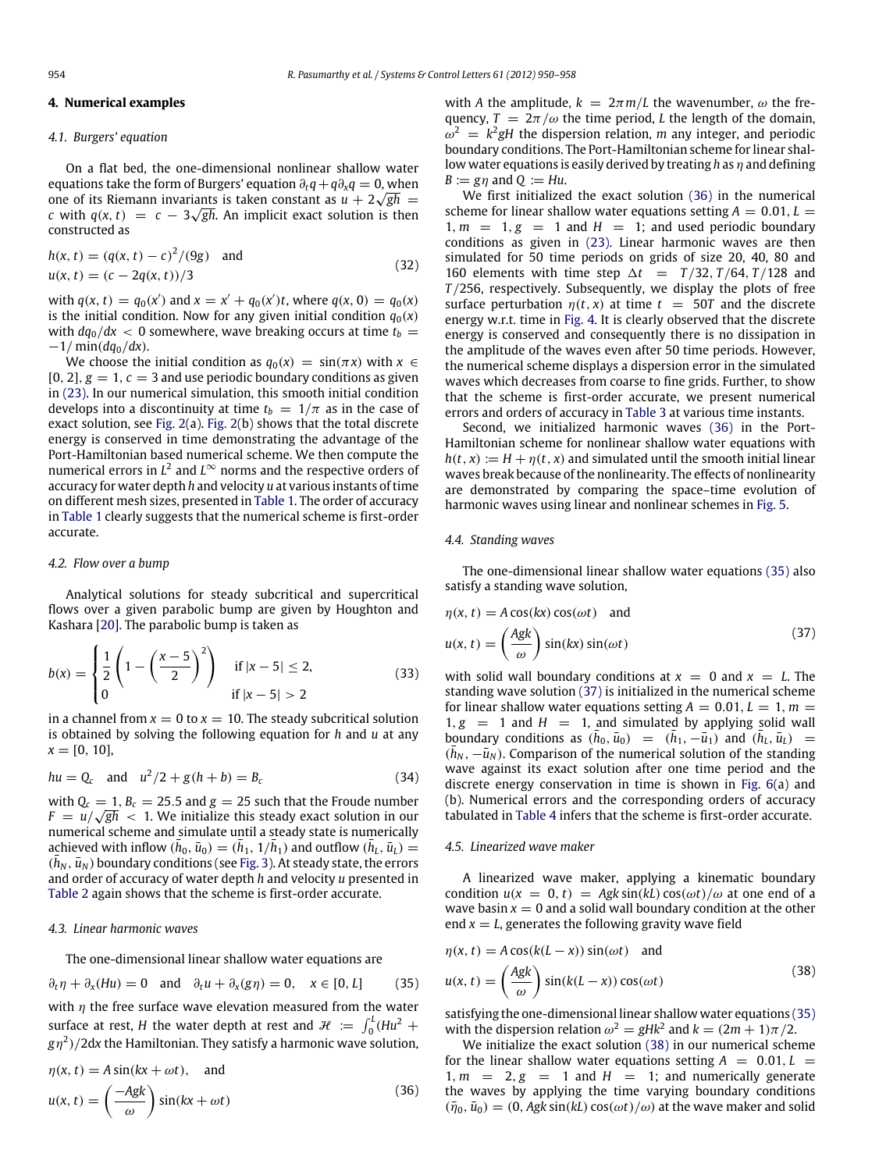## **4. Numerical examples**

## *4.1. Burgers' equation*

On a flat bed, the one-dimensional nonlinear shallow water equations take the form of Burgers' equation  $\partial_t q + q \partial_x q = 0$ , when one of its Riemann invariants is taken constant as  $u + 2\sqrt{gh} =$ *c* with  $q(x, t) = c - 3\sqrt{gh}$ . An implicit exact solution is then constructed as

$$
h(x, t) = (q(x, t) - c)^{2}/(9g) \text{ and}
$$
  
 
$$
u(x, t) = (c - 2q(x, t))/3
$$
 (32)

with  $q(x, t) = q_0(x')$  and  $x = x' + q_0(x')t$ , where  $q(x, 0) = q_0(x)$ is the initial condition. Now for any given initial condition  $q_0(x)$ with  $dq_0/dx < 0$  somewhere, wave breaking occurs at time  $t_b =$ −1/ min(*dq*0/*dx*).

We choose the initial condition as  $q_0(x) = \sin(\pi x)$  with  $x \in$  $[0, 2]$ ,  $g = 1$ ,  $c = 3$  and use periodic boundary conditions as given in [\(23\).](#page-4-2) In our numerical simulation, this smooth initial condition develops into a discontinuity at time  $t_b = 1/\pi$  as in the case of exact solution, see [Fig. 2\(](#page-6-0)a). [Fig. 2\(](#page-6-0)b) shows that the total discrete energy is conserved in time demonstrating the advantage of the Port-Hamiltonian based numerical scheme. We then compute the numerical errors in  $L^2$  and  $L^\infty$  norms and the respective orders of accuracy for water depth *h* and velocity *u* at various instants of time on different mesh sizes, presented in [Table 1.](#page-6-1) The order of accuracy in [Table 1](#page-6-1) clearly suggests that the numerical scheme is first-order accurate.

#### *4.2. Flow over a bump*

Analytical solutions for steady subcritical and supercritical flows over a given parabolic bump are given by Houghton and Kashara [\[20\]](#page-9-13). The parabolic bump is taken as

$$
b(x) = \begin{cases} \frac{1}{2} \left( 1 - \left( \frac{x-5}{2} \right)^2 \right) & \text{if } |x-5| \le 2, \\ 0 & \text{if } |x-5| > 2 \end{cases}
$$
(33)

in a channel from  $x = 0$  to  $x = 10$ . The steady subcritical solution is obtained by solving the following equation for *h* and *u* at any  $x = [0, 10]$ ,

$$
hu = Q_c
$$
 and  $u^2/2 + g(h + b) = B_c$  (34)

with  $Q_c = 1$ ,  $B_c = 25.5$  and  $g = 25$  such that the Froude number  $F\,=\,u/\sqrt{gh}\,<\,1.$  We initialize this steady exact solution in our numerical scheme and simulate until a steady state is numerically achieved with inflow  $(h_0, \bar{u}_0) = (h_1, 1/h_1)$  and outflow  $(h_L, \bar{u}_L) =$  $(\bar{h}_N, \bar{u}_N)$  boundary conditions (see [Fig. 3\)](#page-6-2). At steady state, the errors and order of accuracy of water depth *h* and velocity *u* presented in [Table 2](#page-6-3) again shows that the scheme is first-order accurate.

#### *4.3. Linear harmonic waves*

The one-dimensional linear shallow water equations are

$$
\partial_t \eta + \partial_x (Hu) = 0 \quad \text{and} \quad \partial_t u + \partial_x (g\eta) = 0, \quad x \in [0, L] \tag{35}
$$

with  $\eta$  the free surface wave elevation measured from the water surface at rest, *H* the water depth at rest and  $\mathcal{H} := \int_0^L (H u^2 +$  $g\eta^2)/2$ dx the Hamiltonian. They satisfy a harmonic wave solution,

$$
\eta(x, t) = A \sin(kx + \omega t), \text{ and}
$$
  

$$
u(x, t) = \left(\frac{-A g k}{\omega}\right) \sin(kx + \omega t)
$$
 (36)

with *A* the amplitude,  $k = 2\pi m/L$  the wavenumber,  $\omega$  the frequency,  $T = 2\pi/\omega$  the time period, *L* the length of the domain,  $\omega^2 = k^2 gH$  the dispersion relation, *m* any integer, and periodic boundary conditions. The Port-Hamiltonian scheme for linear shallow water equations is easily derived by treating *h* as η and defining  $B := gn$  and  $Q := Hu$ .

We first initialized the exact solution [\(36\)](#page-5-0) in the numerical scheme for linear shallow water equations setting  $A = 0.01, L =$  $1, m = 1, g = 1$  and  $H = 1$ ; and used periodic boundary conditions as given in [\(23\).](#page-4-2) Linear harmonic waves are then simulated for 50 time periods on grids of size 20, 40, 80 and 160 elements with time step  $\Delta t = T/32, T/64, T/128$  and *T* /256, respectively. Subsequently, we display the plots of free surface perturbation  $\eta(t, x)$  at time  $t = 50T$  and the discrete energy w.r.t. time in [Fig. 4.](#page-7-0) It is clearly observed that the discrete energy is conserved and consequently there is no dissipation in the amplitude of the waves even after 50 time periods. However, the numerical scheme displays a dispersion error in the simulated waves which decreases from coarse to fine grids. Further, to show that the scheme is first-order accurate, we present numerical errors and orders of accuracy in [Table 3](#page-7-1) at various time instants.

Second, we initialized harmonic waves [\(36\)](#page-5-0) in the Port-Hamiltonian scheme for nonlinear shallow water equations with  $h(t, x) := H + \eta(t, x)$  and simulated until the smooth initial linear waves break because of the nonlinearity. The effects of nonlinearity are demonstrated by comparing the space–time evolution of harmonic waves using linear and nonlinear schemes in [Fig. 5.](#page-7-2)

### *4.4. Standing waves*

The one-dimensional linear shallow water equations [\(35\)](#page-5-1) also satisfy a standing wave solution,

<span id="page-5-2"></span>
$$
\eta(x, t) = A \cos(kx) \cos(\omega t) \text{ and}
$$
  

$$
u(x, t) = \left(\frac{Agk}{\omega}\right) \sin(kx) \sin(\omega t)
$$
 (37)

with solid wall boundary conditions at  $x = 0$  and  $x = L$ . The standing wave solution [\(37\)](#page-5-2) is initialized in the numerical scheme for linear shallow water equations setting  $A = 0.01, L = 1, m =$  $1, g = 1$  and  $H = 1$ , and simulated by applying solid wall boundary conditions as  $(\bar{h}_0, \bar{u}_0) = (\bar{h}_1, -\bar{u}_1)$  and  $(\bar{h}_L, \bar{u}_L) =$  $(\bar{h}_N, -\bar{u}_N)$ . Comparison of the numerical solution of the standing wave against its exact solution after one time period and the discrete energy conservation in time is shown in [Fig. 6\(](#page-8-0)a) and (b). Numerical errors and the corresponding orders of accuracy tabulated in [Table 4](#page-8-1) infers that the scheme is first-order accurate.

#### *4.5. Linearized wave maker*

A linearized wave maker, applying a kinematic boundary condition  $u(x = 0, t) = Agk \sin(kL) \cos(\omega t) / \omega$  at one end of a wave basin  $x = 0$  and a solid wall boundary condition at the other end  $x = L$ , generates the following gravity wave field

<span id="page-5-3"></span><span id="page-5-1"></span>
$$
\eta(x, t) = A \cos(k(L - x)) \sin(\omega t) \text{ and}
$$
  
 
$$
u(x, t) = \left(\frac{Agk}{\omega}\right) \sin(k(L - x)) \cos(\omega t)
$$
 (38)

satisfying the one-dimensional linear shallow water equations [\(35\)](#page-5-1) with the dispersion relation  $\omega^2 = gHk^2$  and  $k = (2m + 1)\pi/2$ .

<span id="page-5-0"></span>We initialize the exact solution [\(38\)](#page-5-3) in our numerical scheme for the linear shallow water equations setting  $A = 0.01, L =$  $1, m = 2, g = 1$  and  $H = 1$ ; and numerically generate the waves by applying the time varying boundary conditions  $(\bar{\eta}_0, \bar{u}_0) = (0, Agk \sin(kl) \cos(\omega t)/\omega)$  at the wave maker and solid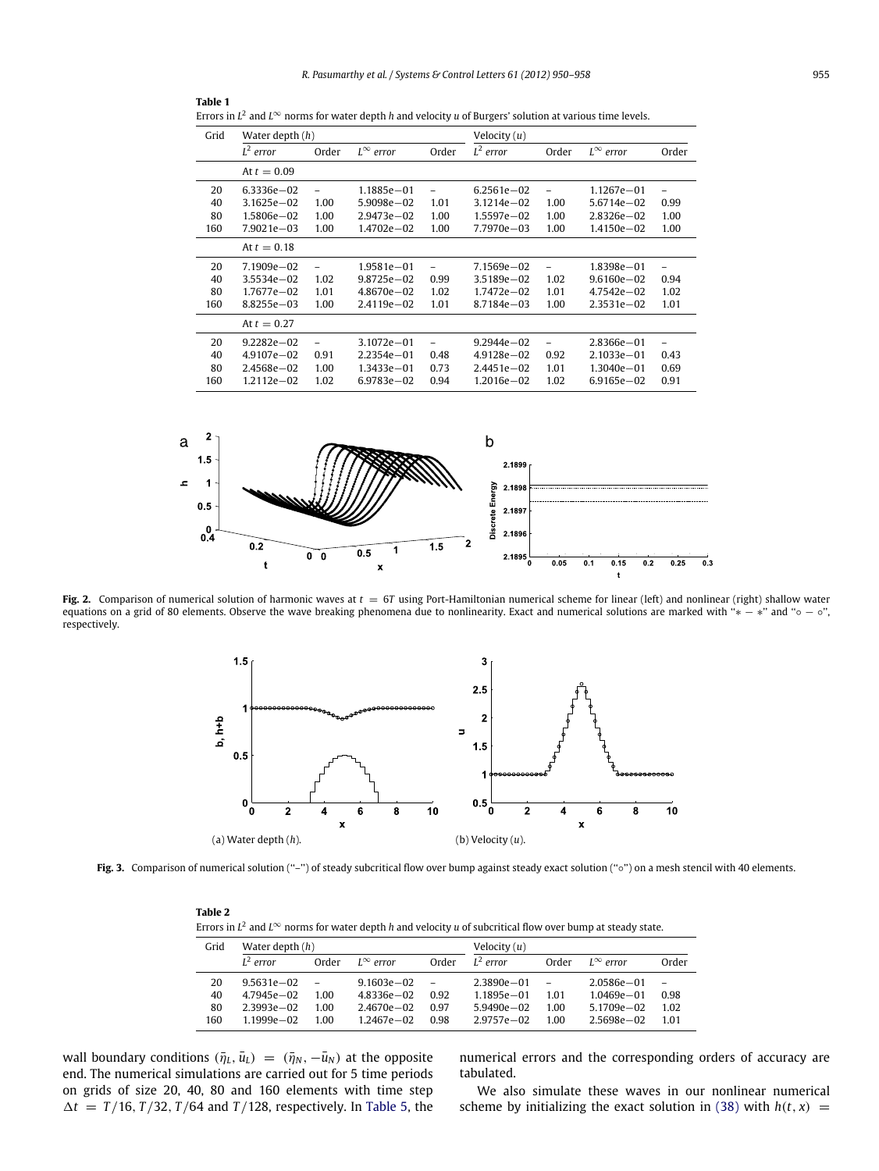| Errors in $L^2$ and $L^\infty$ norms for water depth h and velocity u of Burgers' solution at various time levels. |                          |                    |                          |                |                          |                    |                          |  |  |  |
|--------------------------------------------------------------------------------------------------------------------|--------------------------|--------------------|--------------------------|----------------|--------------------------|--------------------|--------------------------|--|--|--|
|                                                                                                                    |                          |                    |                          | Velocity $(u)$ |                          |                    |                          |  |  |  |
| $L^2$ error                                                                                                        | Order                    | $L^{\infty}$ error | Order                    | $L^2$ error    | Order                    | $L^{\infty}$ error | Order                    |  |  |  |
| At $t = 0.09$                                                                                                      |                          |                    |                          |                |                          |                    |                          |  |  |  |
| $6.3336e - 02$                                                                                                     | $\overline{\phantom{0}}$ | 1.1885e-01         | $\overline{\phantom{0}}$ | $6.2561e - 02$ | $\overline{\phantom{0}}$ | $1.1267e - 01$     | $\overline{\phantom{0}}$ |  |  |  |
| $3.1625e - 02$                                                                                                     | 1.00                     | 5.9098e-02         | 1.01                     | $3.1214e - 02$ | 1.00                     | 5.6714e-02         | 0.99                     |  |  |  |
| 80<br>1.5806e-02<br>1.00                                                                                           |                          | $2.9473e - 02$     | 1.00                     | $1.5597e - 02$ | 1.00                     | 2.8326e-02         | 1.00                     |  |  |  |
| $7.9021e - 03$<br>1.00                                                                                             |                          | $1.4702e - 02$     | 1.00                     | $7.7970e - 03$ | 1.00                     | $1.4150e - 02$     | 1.00                     |  |  |  |
| At $t = 0.18$                                                                                                      |                          |                    |                          |                |                          |                    |                          |  |  |  |
| 7.1909e-02                                                                                                         |                          | $1.9581e - 01$     | $\overline{a}$           | 7.1569e-02     | $\overline{\phantom{0}}$ | 1.8398e-01         | $\overline{a}$           |  |  |  |
| $3.5534e - 02$                                                                                                     | 1.02                     | $9.8725e - 02$     | 0.99                     | $3.5189e - 02$ | 1.02                     | $9.6160e - 02$     | 0.94                     |  |  |  |
| $1.7677e - 02$                                                                                                     | 1.01                     | $4.8670e - 02$     | 1.02                     | $1.7472e - 02$ | 1.01                     | $4.7542e - 02$     | 1.02                     |  |  |  |
| 8.8255e-03                                                                                                         | 1.00                     | $2.4119e - 02$     | 1.01                     | $8.7184e - 03$ | 1.00                     | $2.3531e - 02$     | 1.01                     |  |  |  |
| At $t = 0.27$                                                                                                      |                          |                    |                          |                |                          |                    |                          |  |  |  |
| $9.2282e - 02$                                                                                                     |                          | $3.1072e - 01$     | $\overline{\phantom{a}}$ | $9.2944e - 02$ | $\overline{\phantom{0}}$ | 2.8366e-01         | $\overline{a}$           |  |  |  |
| $4.9107e - 02$                                                                                                     | 0.91                     | $2.2354e - 01$     | 0.48                     | $4.9128e - 02$ | 0.92                     | $2.1033e - 01$     | 0.43                     |  |  |  |
| $2.4568e - 02$                                                                                                     | 1.00                     | 1.3433e-01         | 0.73                     | $2.4451e - 02$ | 1.01                     | $1.3040e - 01$     | 0.69                     |  |  |  |
| $1.2112e - 02$                                                                                                     | 1.02                     | 6.9783e-02         | 0.94                     | $1.2016e - 02$ | 1.02                     | 6.9165e-02         | 0.91                     |  |  |  |
|                                                                                                                    |                          | Water depth $(h)$  |                          |                |                          |                    |                          |  |  |  |

<span id="page-6-0"></span>

<span id="page-6-2"></span>Fig. 2. Comparison of numerical solution of harmonic waves at  $t = 6T$  using Port-Hamiltonian numerical scheme for linear (left) and nonlinear (right) shallow water equations on a grid of 80 elements. Observe the wave breaking phenomena due to nonlinearity. Exact and numerical solutions are marked with "\* - \*" and "∘ - ∘", respectively.



**Fig. 3.** Comparison of numerical solution ("-") of steady subcritical flow over bump against steady exact solution ("o") on a mesh stencil with 40 elements.

<span id="page-6-3"></span>

| Table 2                                                                                                              |
|----------------------------------------------------------------------------------------------------------------------|
| Errors in $L^2$ and $L^\infty$ norms for water depth h and velocity u of subcritical flow over bump at steady state. |

| Grid | Water depth $(h)$ |       |                    |                          | Velocity $(u)$ |       |                    |                |
|------|-------------------|-------|--------------------|--------------------------|----------------|-------|--------------------|----------------|
|      | $L^2$ error       | Order | $I^{\infty}$ error | Order                    | $I^2$ error    | Order | $I^{\infty}$ error | Order          |
| 20   | $9.5631e - 02$    |       | $9.1603e - 02$     | $\overline{\phantom{a}}$ | $2.3890e - 01$ |       | $2.0586e - 01$     | $\overline{a}$ |
| 40   | $4.7945e - 02$    | 1.00  | $48336e - 02$      | 0.92                     | $1.1895e - 01$ | 1.01  | $1.0469e - 01$     | 0.98           |
| 80   | $2.3993e - 02$    | 1.00  | $2.4670e - 02$     | 0.97                     | $5.9490e - 02$ | 1.00  | $5.1709e - 02$     | 1.02           |
| 160  | $1.1999e - 02$    | 1.00  | $12467e - 02$      | 0.98                     | $2.9757e - 02$ | 1.00  | 2.5698e-02         | 1.01           |

wall boundary conditions  $(\bar{\eta}_L, \bar{u}_L) = (\bar{\eta}_N, -\bar{u}_N)$  at the opposite end. The numerical simulations are carried out for 5 time periods on grids of size 20, 40, 80 and 160 elements with time step  $\Delta t = T/16$ ,  $T/32$ ,  $T/64$  and  $T/128$ , respectively. In [Table 5,](#page-8-2) the

<span id="page-6-1"></span>**Table 1**

numerical errors and the corresponding orders of accuracy are tabulated.

We also simulate these waves in our nonlinear numerical scheme by initializing the exact solution in [\(38\)](#page-5-3) with  $h(t, x) =$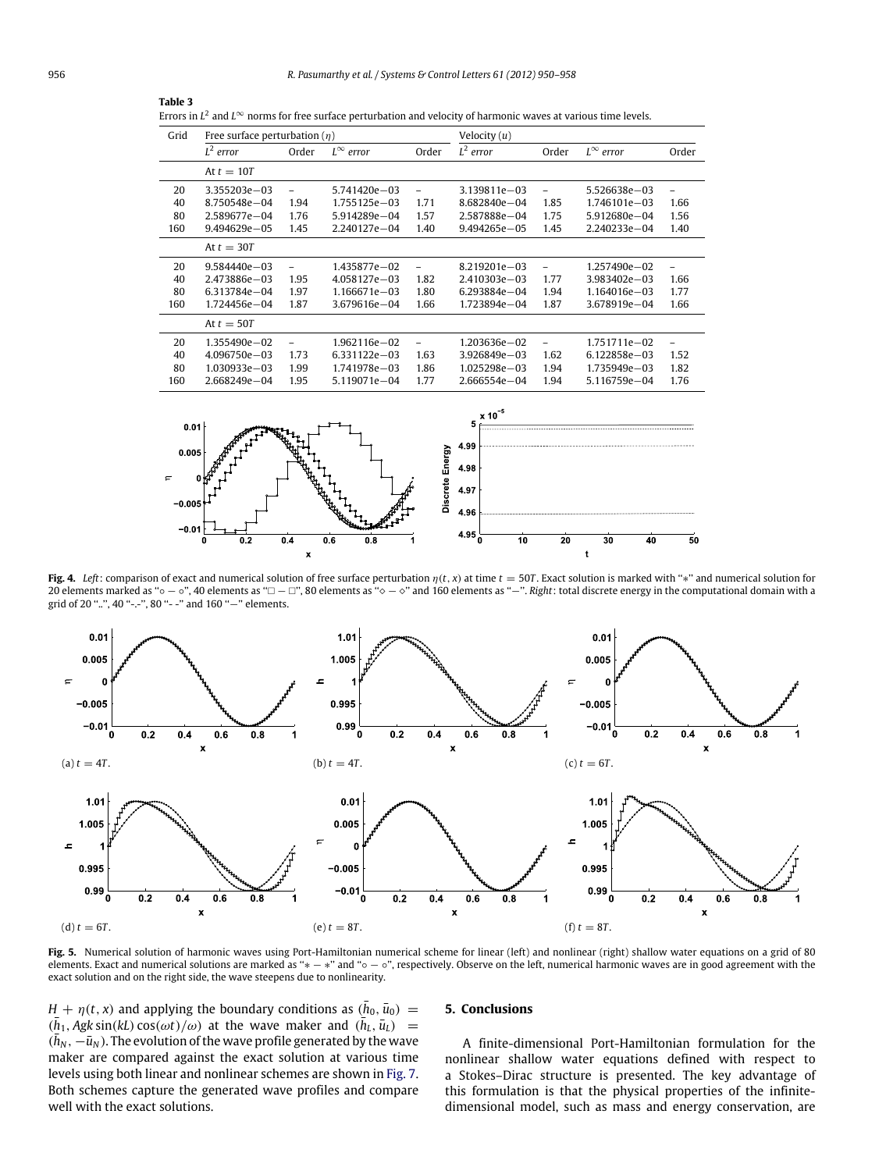<span id="page-7-1"></span>**Table 3**

|                                                                                                                |                                    |                          | triors in E- and E-- norms for free surface perturbation and velocity of narmonic waves at various time levels. |                          |                         |                          |                    |                |  |  |
|----------------------------------------------------------------------------------------------------------------|------------------------------------|--------------------------|-----------------------------------------------------------------------------------------------------------------|--------------------------|-------------------------|--------------------------|--------------------|----------------|--|--|
| Grid                                                                                                           | Free surface perturbation $(\eta)$ |                          | Velocity $(u)$                                                                                                  |                          |                         |                          |                    |                |  |  |
|                                                                                                                | $L^2$ error                        | Order                    | $L^{\infty}$ error                                                                                              | Order                    | $L^2$ error             | Order                    | $L^{\infty}$ error | Order          |  |  |
|                                                                                                                | At $t = 10T$                       |                          |                                                                                                                 |                          |                         |                          |                    |                |  |  |
| 20                                                                                                             | 3.355203e-03                       |                          | 5.741420e-03                                                                                                    | $\overline{\phantom{0}}$ | 3.139811e-03            | $\overline{\phantom{a}}$ | 5.526638e-03       |                |  |  |
| 40                                                                                                             | 8.750548e-04                       | 1.94                     | 1.755125e-03                                                                                                    | 1.71                     | 8.682840e-04            | 1.85                     | 1.746101e-03       | 1.66           |  |  |
| 80                                                                                                             | 2.589677e-04                       | 1.76                     | 5.914289e-04                                                                                                    | 1.57                     | 2.587888e-04            | 1.75                     | 5.912680e-04       | 1.56           |  |  |
| 160                                                                                                            | 9.494629e-05                       | 1.45                     | 2.240127e-04                                                                                                    | 1.40                     | $9.494265e - 05$        | 1.45                     | 2.240233e-04       | 1.40           |  |  |
|                                                                                                                | At $t = 30T$                       |                          |                                                                                                                 |                          |                         |                          |                    |                |  |  |
| 20                                                                                                             | $9.584440e - 03$                   | $\overline{\phantom{0}}$ | 1.435877e-02                                                                                                    | $\overline{\phantom{a}}$ | 8.219201e-03            | $\overline{\phantom{0}}$ | 1.257490e-02       | $\overline{a}$ |  |  |
| 40                                                                                                             | 2.473886e-03                       | 1.95                     | 4.058127e-03                                                                                                    | 1.82                     | 2.410303e-03            | 1.77                     | 3.983402e-03       | 1.66           |  |  |
| 80                                                                                                             | 6.313784e-04                       | 1.97                     | 1.166671e-03                                                                                                    | 1.80                     | 6.293884e-04            | 1.94                     | 1.164016e-03       | 1.77           |  |  |
| 160                                                                                                            | 1.724456e-04                       | 1.87                     | 3.679616e-04                                                                                                    | 1.66                     | 1.723894e-04            | 1.87                     | 3.678919e-04       | 1.66           |  |  |
|                                                                                                                | At $t = 50T$                       |                          |                                                                                                                 |                          |                         |                          |                    |                |  |  |
| 20                                                                                                             | 1.355490e-02                       | $\overline{\phantom{0}}$ | 1.962116e-02                                                                                                    | $\overline{\phantom{0}}$ | 1.203636e-02            | $\frac{1}{2}$            | 1.751711e-02       | $\overline{a}$ |  |  |
| 40                                                                                                             | 4.096750e-03                       | 1.73                     | 6.331122e-03                                                                                                    | 1.63                     | 3.926849e-03            | 1.62                     | 6.122858e-03       | 1.52           |  |  |
| 80                                                                                                             | 1.030933e-03                       | 1.99                     | 1.741978e-03                                                                                                    | 1.86                     | 1.025298e-03            | 1.94                     | 1.735949e-03       | 1.82           |  |  |
| 160                                                                                                            | 2.668249e-04                       | 1.95                     | 5.119071e-04                                                                                                    | 1.77                     | 2.666554e-04            | 1.94                     | 5.116759e-04       | 1.76           |  |  |
| $\pmb{\mathsf{x}}$ 10 $^{-5}$<br>5<br>0.01<br>4.99<br>Discrete Energy<br>0.005<br>4.98<br>$\mathbf{r}$<br>4.97 |                                    |                          |                                                                                                                 |                          |                         |                          |                    |                |  |  |
| $-0.005$<br>$-0.01$                                                                                            |                                    |                          |                                                                                                                 |                          | 4.96                    |                          |                    |                |  |  |
|                                                                                                                | 0.2<br>0                           | 0.4                      | 0.6<br>0.8                                                                                                      |                          | $4.95\frac{1}{0}$<br>10 | 20                       | 30<br>40           | 50             |  |  |

| Errors in $L^2$ and $L^\infty$ norms for free surface perturbation and velocity of harmonic waves at various time levels. |  |  |
|---------------------------------------------------------------------------------------------------------------------------|--|--|
|                                                                                                                           |  |  |

<span id="page-7-0"></span>**Fig. 4.** *Left*: comparison of exact and numerical solution of free surface perturbation  $\eta(t, x)$  at time  $t = 50$ . Exact solution is marked with "\*" and numerical solution for 20 elements marked as ''◦ − ◦'', 40 elements as '' − '', 80 elements as '' − '' and 160 elements as ''−''. *Right*: total discrete energy in the computational domain with a grid of 20 "...", 40 "-.-", 80 "- -" and 160 "--" elements.

20  $\ddot{\mathbf{r}}$ 

<span id="page-7-2"></span>

**Fig. 5.** Numerical solution of harmonic waves using Port-Hamiltonian numerical scheme for linear (left) and nonlinear (right) shallow water equations on a grid of 80 elements. Exact and numerical solutions are marked as "\* − \*" and "° − °", respectively. Observe on the left, numerical harmonic waves are in good agreement with the exact solution and on the right side, the wave steepens due to nonlinearity.

 $H + \eta(t, x)$  and applying the boundary conditions as  $(\bar{h}_0, \bar{u}_0)$  =  $(\bar{h}_1, \bar{h}_2, \bar{h}_3)$  at the wave maker and  $(\bar{h}_1, \bar{h}_2)$  =  $(\bar{h}_N, -\bar{u}_N)$ . The evolution of the wave profile generated by the wave maker are compared against the exact solution at various time levels using both linear and nonlinear schemes are shown in [Fig. 7.](#page-8-3) Both schemes capture the generated wave profiles and compare well with the exact solutions.

## **5. Conclusions**

A finite-dimensional Port-Hamiltonian formulation for the nonlinear shallow water equations defined with respect to a Stokes–Dirac structure is presented. The key advantage of this formulation is that the physical properties of the infinitedimensional model, such as mass and energy conservation, are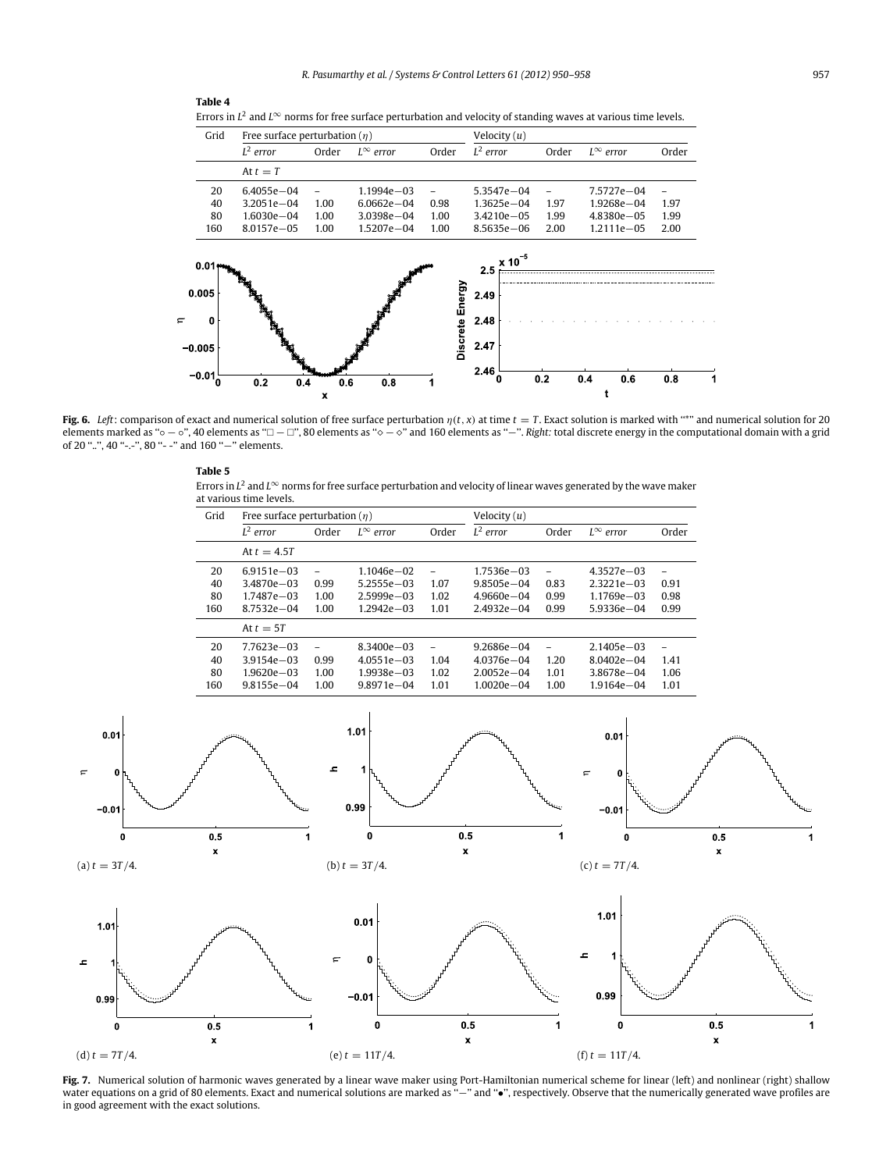| Free surface perturbation $(\eta)$<br>$L^2$ error<br>At $t = T$<br>$6.4055e - 04$<br>$3.2051e - 04$<br>$1.6030e - 04$<br>8.0157e-05 | Order<br>1.00<br>1.00<br>1.00 | $L^{\infty}$ error<br>$1.1994e - 03$<br>$6.0662e - 04$<br>$3.0398e - 04$<br>$1.5207e - 04$ | Order<br>0.98<br>1.00<br>1.00 | Velocity $(u)$<br>$L^2$ error<br>5.3547e-04<br>$1.3625e - 04$<br>$3.4210e - 05$<br>$8.5635e - 06$ | Order<br>1.97<br>1.99<br>2.00     | $L^{\infty}$ error<br>7.5727e-04<br>1.9268e-04<br>4.8380e-05<br>1.2111e-05 | Order<br>1.97<br>1.99<br>2.00 |
|-------------------------------------------------------------------------------------------------------------------------------------|-------------------------------|--------------------------------------------------------------------------------------------|-------------------------------|---------------------------------------------------------------------------------------------------|-----------------------------------|----------------------------------------------------------------------------|-------------------------------|
|                                                                                                                                     |                               |                                                                                            |                               |                                                                                                   |                                   |                                                                            |                               |
|                                                                                                                                     |                               |                                                                                            |                               |                                                                                                   |                                   |                                                                            |                               |
|                                                                                                                                     |                               |                                                                                            |                               |                                                                                                   |                                   |                                                                            |                               |
|                                                                                                                                     |                               |                                                                                            |                               |                                                                                                   |                                   |                                                                            |                               |
|                                                                                                                                     |                               |                                                                                            |                               |                                                                                                   |                                   |                                                                            |                               |
|                                                                                                                                     |                               |                                                                                            |                               |                                                                                                   |                                   |                                                                            |                               |
|                                                                                                                                     |                               |                                                                                            |                               |                                                                                                   |                                   |                                                                            |                               |
|                                                                                                                                     |                               |                                                                                            |                               | 2.49                                                                                              |                                   |                                                                            |                               |
|                                                                                                                                     |                               | 靍                                                                                          |                               | 2.48                                                                                              |                                   |                                                                            |                               |
|                                                                                                                                     |                               |                                                                                            |                               | 2.47                                                                                              |                                   |                                                                            |                               |
|                                                                                                                                     |                               |                                                                                            |                               | 2.46<br>0                                                                                         |                                   | 0.6                                                                        | 0.8                           |
|                                                                                                                                     | 0.2                           | 0.4<br>x                                                                                   | J<br><b>BAR</b><br>0.8<br>0.6 |                                                                                                   | x 10<br>2.5<br>Energy<br>Discrete | 0.2                                                                        | 0.4                           |

Errors in  $L^2$  and  $L^\infty$  norms for free surface perturbation and velocity of standing waves at various time levels.

<span id="page-8-0"></span>**Fig. 6.** *Left*: comparison of exact and numerical solution of free surface perturbation  $\eta(t, x)$  at time  $t = T$ . Exact solution is marked with "\*" and numerical solution for 20 elements marked as "° − °", 40 elements as "□ − □", 80 elements as "° − °" and 160 elements as "-". Right: total discrete energy in the computational domain with a grid of 20 "..", 40 "-.-", 80 "- -" and 160 "-" elements.

### <span id="page-8-2"></span>**Table 5**

<span id="page-8-1"></span>**Table 4**

Errors in  $L^2$  and  $L^\infty$  norms for free surface perturbation and velocity of linear waves generated by the wave maker at various time levels.

| Grid | Free surface perturbation $(\eta)$ |                                            |                             |                        | Velocity $(u)$ |                          |                    |                          |  |  |
|------|------------------------------------|--------------------------------------------|-----------------------------|------------------------|----------------|--------------------------|--------------------|--------------------------|--|--|
|      | $L^2$ error                        | Order                                      | $L^{\infty}$ error<br>Order |                        | $L^2$ error    | Order                    | $L^{\infty}$ error | Order                    |  |  |
|      | At $t = 4.5T$                      |                                            |                             |                        |                |                          |                    |                          |  |  |
| 20   | $6.9151e - 03$                     | $1.1046e - 02$<br>$\overline{\phantom{0}}$ |                             | -                      | 1.7536e-03     | $\overline{\phantom{0}}$ | $4.3527e - 03$     | $\overline{\phantom{0}}$ |  |  |
| 40   | $3.4870e - 03$                     | 0.99                                       | $5.2555e - 03$              | 1.07                   | $9.8505e - 04$ | 0.83                     | $2.3221e - 03$     | 0.91                     |  |  |
| 80   | $1.7487e - 03$                     | 1.00                                       | $2.5999e - 03$              | 1.02                   | $4.9660e - 04$ | 0.99                     | $1.1769e - 03$     | 0.98                     |  |  |
| 160  | $8.7532e - 04$                     | 1.00<br>$1.2942e - 03$                     |                             | 1.01<br>$2.4932e - 04$ |                | 0.99<br>$5.9336e - 04$   |                    | 0.99                     |  |  |
|      | At $t=5T$                          |                                            |                             |                        |                |                          |                    |                          |  |  |
| 20   | $7.7623e - 03$                     |                                            | $8.3400e - 03$              |                        | $9.2686e - 04$ |                          | $2.1405e - 03$     |                          |  |  |
| 40   | $3.9154e - 03$                     | 0.99                                       | $4.0551e - 03$              | 1.04                   | $4.0376e - 04$ | 1.20                     | $8.0402e - 04$     | 1.41                     |  |  |
| 80   | $1.9620e - 03$                     | 1.00                                       | $1.9938e - 03$              | 1.02                   | $2.0052e - 04$ | 1.01                     | 3.8678e-04         | 1.06                     |  |  |
| 160  | $9.8155e - 04$                     | 1.00                                       | $9.8971e - 04$              | 1.01                   | $1.0020e - 04$ | 1.00                     | $1.9164e - 04$     | 1.01                     |  |  |
|      |                                    |                                            |                             |                        |                |                          |                    |                          |  |  |

<span id="page-8-3"></span>

Fig. 7. Numerical solution of harmonic waves generated by a linear wave maker using Port-Hamiltonian numerical scheme for linear (left) and nonlinear (right) shallow water equations on a grid of 80 elements. Exact and numerical solutions are marked as "-" and ". respectively. Observe that the numerically generated wave profiles are in good agreement with the exact solutions.